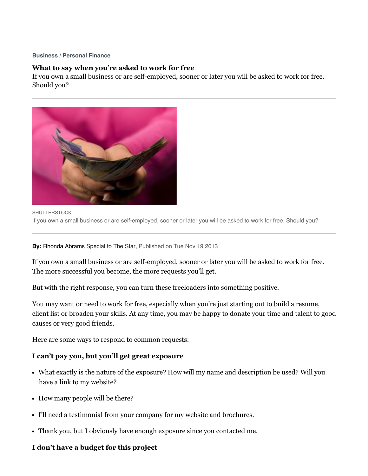#### **[Business](http://www.thestar.com/business.html)** / **[Personal](http://www.thestar.com/business/personal_finance.html) Finance**

### **What to say when you're asked to work for free**

If you own a small business or are self-employed, sooner or later you will be asked to work for free. Should you?



**SHUTTERSTOCK** If you own a small business or are self-employed, sooner or later you will be asked to work for free. Should you?

**By:** Rhonda Abrams Special to The Star, Published on Tue Nov 19 2013

If you own a small business or are self-employed, sooner or later you will be asked to work for free. The more successful you become, the more requests you'll get.

But with the right response, you can turn these freeloaders into something positive.

You may want or need to work for free, especially when you're just starting out to build a resume, client list or broaden your skills. At any time, you may be happy to donate your time and talent to good causes or very good friends.

Here are some ways to respond to common requests:

### **I can't pay you, but you'll get great exposure**

- What exactly is the nature of the exposure? How will my name and description be used? Will you have a link to my website?
- How many people will be there?
- I'll need a testimonial from your company for my website and brochures.
- Thank you, but I obviously have enough exposure since you contacted me.

#### **I don't have a budget for this project**